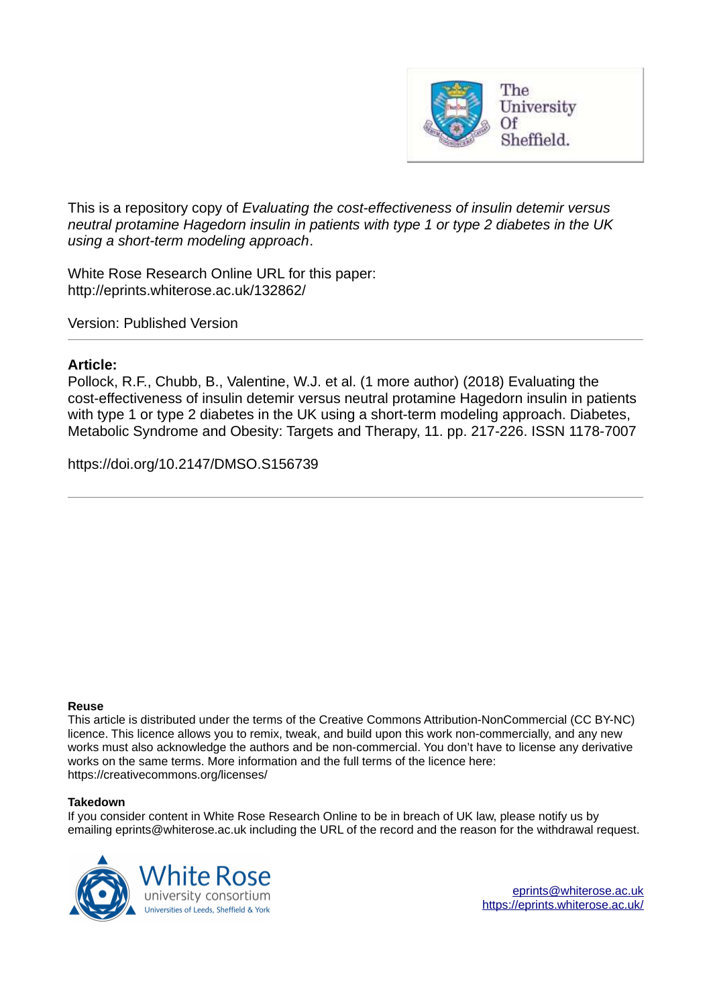

This is a repository copy of *Evaluating the cost-effectiveness of insulin detemir versus neutral protamine Hagedorn insulin in patients with type 1 or type 2 diabetes in the UK using a short-term modeling approach*.

White Rose Research Online URL for this paper: http://eprints.whiterose.ac.uk/132862/

Version: Published Version

#### **Article:**

Pollock, R.F., Chubb, B., Valentine, W.J. et al. (1 more author) (2018) Evaluating the cost-effectiveness of insulin detemir versus neutral protamine Hagedorn insulin in patients with type 1 or type 2 diabetes in the UK using a short-term modeling approach. Diabetes, Metabolic Syndrome and Obesity: Targets and Therapy, 11. pp. 217-226. ISSN 1178-7007

https://doi.org/10.2147/DMSO.S156739

#### **Reuse**

This article is distributed under the terms of the Creative Commons Attribution-NonCommercial (CC BY-NC) licence. This licence allows you to remix, tweak, and build upon this work non-commercially, and any new works must also acknowledge the authors and be non-commercial. You don't have to license any derivative works on the same terms. More information and the full terms of the licence here: https://creativecommons.org/licenses/

#### **Takedown**

If you consider content in White Rose Research Online to be in breach of UK law, please notify us by emailing eprints@whiterose.ac.uk including the URL of the record and the reason for the withdrawal request.

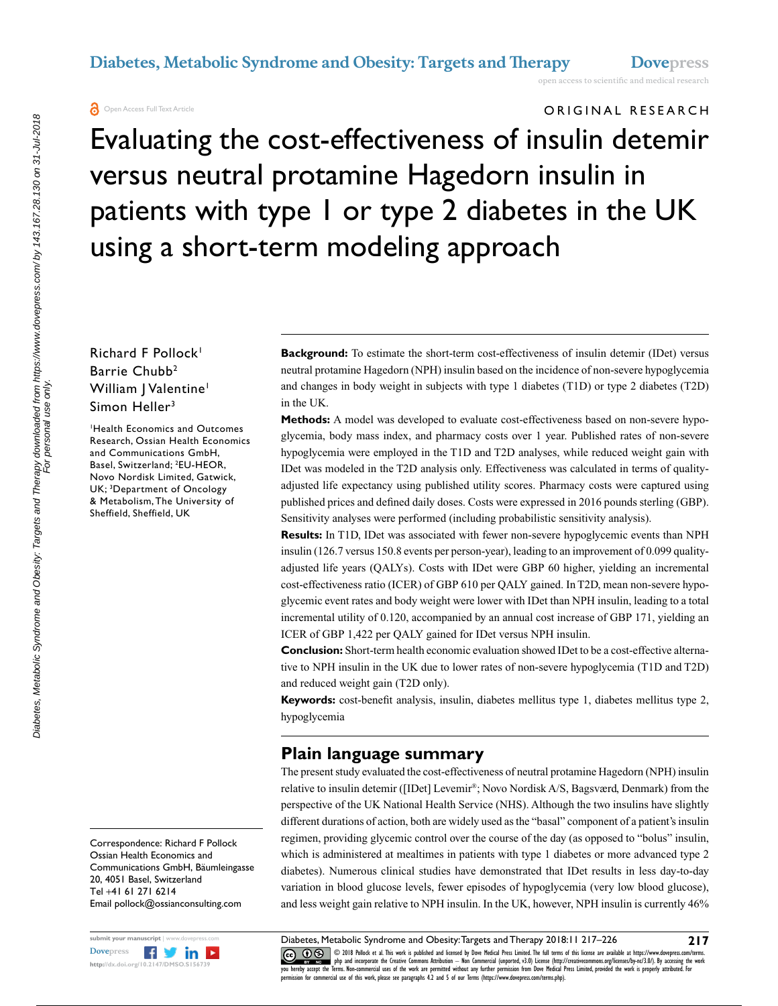**O** Open Access Full Text Article

# ORIGINAL RESEARCH

Evaluating the cost-effectiveness of insulin detemir versus neutral protamine Hagedorn insulin in patients with type 1 or type 2 diabetes in the UK using a short-term modeling approach

### Richard F Pollock<sup>1</sup> Barrie Chubb<sup>2</sup> William | Valentine<sup>1</sup> Simon Heller<sup>3</sup>

<sup>1</sup>Health Economics and Outcomes Research, Ossian Health Economics and Communications GmbH, Basel, Switzerland; <sup>2</sup>EU-HEOR, Novo Nordisk Limited, Gatwick, UK; <sup>3</sup>Department of Oncology & Metabolism, The University of Sheffield, Sheffield, UK

Correspondence: Richard F Pollock Ossian Health Economics and Communications GmbH, Bäumleingasse 20, 4051 Basel, Switzerland Tel +41 61 271 6214 Email [pollock@ossianconsulting.com](mailto:pollock@ossianconsulting.com)



**Background:** To estimate the short-term cost-effectiveness of insulin detemir (IDet) versus neutral protamine Hagedorn (NPH) insulin based on the incidence of non-severe hypoglycemia and changes in body weight in subjects with type 1 diabetes (T1D) or type 2 diabetes (T2D) in the UK.

**Methods:** A model was developed to evaluate cost-effectiveness based on non-severe hypoglycemia, body mass index, and pharmacy costs over 1 year. Published rates of non-severe hypoglycemia were employed in the T1D and T2D analyses, while reduced weight gain with IDet was modeled in the T2D analysis only. Effectiveness was calculated in terms of qualityadjusted life expectancy using published utility scores. Pharmacy costs were captured using published prices and defined daily doses. Costs were expressed in 2016 pounds sterling (GBP). Sensitivity analyses were performed (including probabilistic sensitivity analysis).

**Results:** In T1D, IDet was associated with fewer non-severe hypoglycemic events than NPH insulin (126.7 versus 150.8 events per person-year), leading to an improvement of 0.099 qualityadjusted life years (QALYs). Costs with IDet were GBP 60 higher, yielding an incremental cost-effectiveness ratio (ICER) of GBP 610 per QALY gained. In T2D, mean non-severe hypoglycemic event rates and body weight were lower with IDet than NPH insulin, leading to a total incremental utility of 0.120, accompanied by an annual cost increase of GBP 171, yielding an ICER of GBP 1,422 per QALY gained for IDet versus NPH insulin.

**Conclusion:** Short-term health economic evaluation showed IDet to be a cost-effective alternative to NPH insulin in the UK due to lower rates of non-severe hypoglycemia (T1D and T2D) and reduced weight gain (T2D only).

**Keywords:** cost-benefit analysis, insulin, diabetes mellitus type 1, diabetes mellitus type 2, hypoglycemia

## **Plain language summary**

The present study evaluated the cost-effectiveness of neutral protamine Hagedorn (NPH) insulin relative to insulin detemir ([IDet] Levemir® ; Novo Nordisk A/S, Bagsværd, Denmark) from the perspective of the UK National Health Service (NHS). Although the two insulins have slightly different durations of action, both are widely used as the "basal" component of a patient's insulin regimen, providing glycemic control over the course of the day (as opposed to "bolus" insulin, which is administered at mealtimes in patients with type 1 diabetes or more advanced type 2 diabetes). Numerous clinical studies have demonstrated that IDet results in less day-to-day variation in blood glucose levels, fewer episodes of hypoglycemia (very low blood glucose), and less weight gain relative to NPH insulin. In the UK, however, NPH insulin is currently 46%

CO 108 Pollock et al. This work is published and licensed by Dove Medical Press Limited. The full terms of this license are available at https://www.dovepress.com/terms.<br>Vou hereby accept the Terms. Non-commercial uses of Diabetes, Metabolic Syndrome and Obesity: Targets and Therapy 2018:11 217-226 **217**

 $m$ ission for commercial use of this work, please see paragraphs  $4.2$  and  $5$  of our Terms (https://www.dovepress.com/terms.php).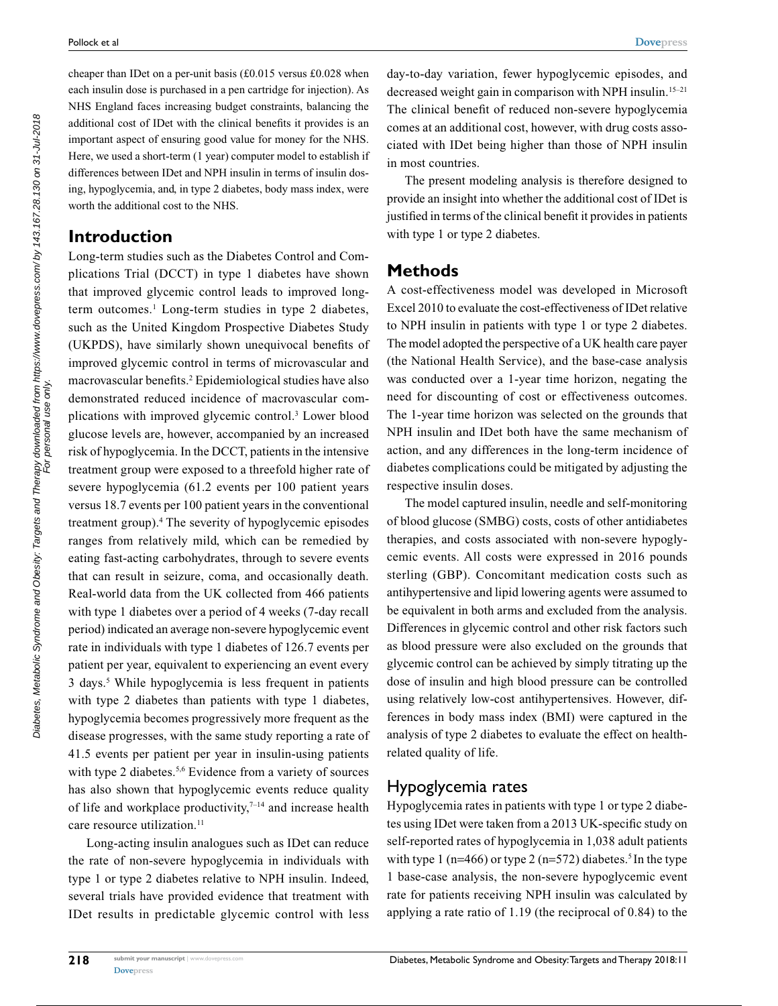cheaper than IDet on a per-unit basis (£0.015 versus £0.028 when each insulin dose is purchased in a pen cartridge for injection). As NHS England faces increasing budget constraints, balancing the additional cost of IDet with the clinical benefits it provides is an important aspect of ensuring good value for money for the NHS. Here, we used a short-term (1 year) computer model to establish if differences between IDet and NPH insulin in terms of insulin dosing, hypoglycemia, and, in type 2 diabetes, body mass index, were worth the additional cost to the NHS.

### **Introduction**

Long-term studies such as the Diabetes Control and Complications Trial (DCCT) in type 1 diabetes have shown that improved glycemic control leads to improved longterm outcomes.<sup>1</sup> Long-term studies in type 2 diabetes, such as the United Kingdom Prospective Diabetes Study (UKPDS), have similarly shown unequivocal benefits of improved glycemic control in terms of microvascular and macrovascular benefits.<sup>2</sup> Epidemiological studies have also demonstrated reduced incidence of macrovascular complications with improved glycemic control.<sup>3</sup> Lower blood glucose levels are, however, accompanied by an increased risk of hypoglycemia. In the DCCT, patients in the intensive treatment group were exposed to a threefold higher rate of severe hypoglycemia (61.2 events per 100 patient years versus 18.7 events per 100 patient years in the conventional treatment group).<sup>4</sup> The severity of hypoglycemic episodes ranges from relatively mild, which can be remedied by eating fast-acting carbohydrates, through to severe events that can result in seizure, coma, and occasionally death. Real-world data from the UK collected from 466 patients with type 1 diabetes over a period of 4 weeks (7-day recall period) indicated an average non-severe hypoglycemic event rate in individuals with type 1 diabetes of 126.7 events per patient per year, equivalent to experiencing an event every 3 days.<sup>5</sup> While hypoglycemia is less frequent in patients with type 2 diabetes than patients with type 1 diabetes, hypoglycemia becomes progressively more frequent as the disease progresses, with the same study reporting a rate of 41.5 events per patient per year in insulin-using patients with type 2 diabetes.<sup>5,6</sup> Evidence from a variety of sources has also shown that hypoglycemic events reduce quality of life and workplace productivity, $7-14$  and increase health care resource utilization.<sup>11</sup>

Long-acting insulin analogues such as IDet can reduce the rate of non-severe hypoglycemia in individuals with type 1 or type 2 diabetes relative to NPH insulin. Indeed, several trials have provided evidence that treatment with IDet results in predictable glycemic control with less

**Methods** A cost-effectiveness model was developed in Microsoft Excel 2010 to evaluate the cost-effectiveness of IDet relative to NPH insulin in patients with type 1 or type 2 diabetes.

in most countries.

with type 1 or type 2 diabetes.

The model adopted the perspective of a UK health care payer (the National Health Service), and the base-case analysis was conducted over a 1-year time horizon, negating the need for discounting of cost or effectiveness outcomes. The 1-year time horizon was selected on the grounds that NPH insulin and IDet both have the same mechanism of action, and any differences in the long-term incidence of diabetes complications could be mitigated by adjusting the respective insulin doses.

day-to-day variation, fewer hypoglycemic episodes, and decreased weight gain in comparison with NPH insulin.15–21 The clinical benefit of reduced non-severe hypoglycemia comes at an additional cost, however, with drug costs associated with IDet being higher than those of NPH insulin

The present modeling analysis is therefore designed to provide an insight into whether the additional cost of IDet is justified in terms of the clinical benefit it provides in patients

The model captured insulin, needle and self-monitoring of blood glucose (SMBG) costs, costs of other antidiabetes therapies, and costs associated with non-severe hypoglycemic events. All costs were expressed in 2016 pounds sterling (GBP). Concomitant medication costs such as antihypertensive and lipid lowering agents were assumed to be equivalent in both arms and excluded from the analysis. Differences in glycemic control and other risk factors such as blood pressure were also excluded on the grounds that glycemic control can be achieved by simply titrating up the dose of insulin and high blood pressure can be controlled using relatively low-cost antihypertensives. However, differences in body mass index (BMI) were captured in the analysis of type 2 diabetes to evaluate the effect on healthrelated quality of life.

### Hypoglycemia rates

Hypoglycemia rates in patients with type 1 or type 2 diabetes using IDet were taken from a 2013 UK-specific study on self-reported rates of hypoglycemia in 1,038 adult patients with type 1 (n=466) or type 2 (n=572) diabetes.<sup>5</sup> In the type 1 base-case analysis, the non-severe hypoglycemic event rate for patients receiving NPH insulin was calculated by applying a rate ratio of 1.19 (the reciprocal of 0.84) to the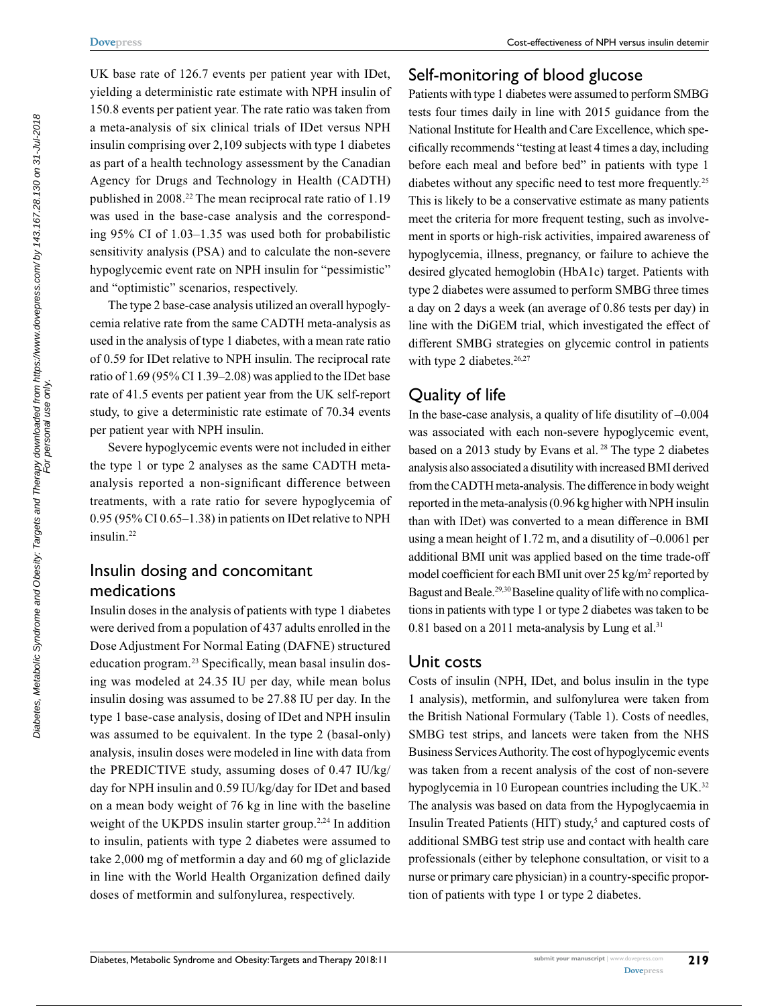<span id="page-3-0"></span>UK base rate of 126.7 events per patient year with IDet, yielding a deterministic rate estimate with NPH insulin of 150.8 events per patient year. The rate ratio was taken from a meta-analysis of six clinical trials of IDet versus NPH insulin comprising over 2,109 subjects with type 1 diabetes as part of a health technology assessment by the Canadian Agency for Drugs and Technology in Health (CADTH) published in 2008.<sup>22</sup> The mean reciprocal rate ratio of 1.19 was used in the base-case analysis and the corresponding 95% CI of 1.03–1.35 was used both for probabilistic sensitivity analysis (PSA) and to calculate the non-severe hypoglycemic event rate on NPH insulin for "pessimistic" and "optimistic" scenarios, respectively.

The type 2 base-case analysis utilized an overall hypoglycemia relative rate from the same CADTH meta-analysis as used in the analysis of type 1 diabetes, with a mean rate ratio of 0.59 for IDet relative to NPH insulin. The reciprocal rate ratio of 1.69 (95% CI 1.39–2.08) was applied to the IDet base rate of 41.5 events per patient year from the UK self-report study, to give a deterministic rate estimate of 70.34 events per patient year with NPH insulin.

Severe hypoglycemic events were not included in either the type 1 or type 2 analyses as the same CADTH metaanalysis reported a non-significant difference between treatments, with a rate ratio for severe hypoglycemia of 0.95 (95% CI 0.65–1.38) in patients on IDet relative to NPH insulin.<sup>22</sup>

## Insulin dosing and concomitant medications

Insulin doses in the analysis of patients with type 1 diabetes were derived from a population of 437 adults enrolled in the Dose Adjustment For Normal Eating (DAFNE) structured education program.23 Specifically, mean basal insulin dosing was modeled at 24.35 IU per day, while mean bolus insulin dosing was assumed to be 27.88 IU per day. In the type 1 base-case analysis, dosing of IDet and NPH insulin was assumed to be equivalent. In the type 2 (basal-only) analysis, insulin doses were modeled in line with data from the PREDICTIVE study, assuming doses of 0.47 IU/kg/ day for NPH insulin and 0.59 IU/kg/day for IDet and based on a mean body weight of 76 kg in line with the baseline weight of the UKPDS insulin starter group.<sup>2,24</sup> In addition to insulin, patients with type 2 diabetes were assumed to take 2,000 mg of metformin a day and 60 mg of gliclazide in line with the World Health Organization defined daily doses of metformin and sulfonylurea, respectively.

## Self-monitoring of blood glucose

Patients with type 1 diabetes were assumed to perform SMBG tests four times daily in line with 2015 guidance from the National Institute for Health and Care Excellence, which specifically recommends "testing at least 4 times a day, including before each meal and before bed" in patients with type 1 diabetes without any specific need to test more frequently.<sup>25</sup> This is likely to be a conservative estimate as many patients meet the criteria for more frequent testing, such as involvement in sports or high-risk activities, impaired awareness of hypoglycemia, illness, pregnancy, or failure to achieve the desired glycated hemoglobin (HbA1c) target. Patients with type 2 diabetes were assumed to perform SMBG three times a day on 2 days a week (an average of 0.86 tests per day) in line with the DiGEM trial, which investigated the effect of different SMBG strategies on glycemic control in patients with type 2 diabetes.<sup>26,27</sup>

## Quality of life

In the base-case analysis, a quality of life disutility of  $-0.004$ was associated with each non-severe hypoglycemic event, based on a 2013 study by Evans et al.<sup>28</sup> The type 2 diabetes analysis also associated a disutility with increased BMI derived from the CADTH meta-analysis. The difference in body weight reported in the meta-analysis (0.96 kg higher with NPH insulin than with IDet) was converted to a mean difference in BMI using a mean height of 1.72 m, and a disutility of –0.0061 per additional BMI unit was applied based on the time trade-off model coefficient for each BMI unit over 25 kg/m<sup>2</sup> reported by Bagust and Beale.<sup>29,30</sup> Baseline quality of life with no complications in patients with type 1 or type 2 diabetes was taken to be 0.81 based on a 2011 meta-analysis by Lung et al. $31$ 

### Unit costs

Costs of insulin (NPH, IDet, and bolus insulin in the type 1 analysis), metformin, and sulfonylurea were taken from the British National Formulary ([Table 1](#page-3-0)). Costs of needles, SMBG test strips, and lancets were taken from the NHS Business Services Authority. The cost of hypoglycemic events was taken from a recent analysis of the cost of non-severe hypoglycemia in 10 European countries including the UK.<sup>32</sup> The analysis was based on data from the Hypoglycaemia in Insulin Treated Patients (HIT) study,<sup>5</sup> and captured costs of additional SMBG test strip use and contact with health care professionals (either by telephone consultation, or visit to a nurse or primary care physician) in a country-specific proportion of patients with type 1 or type 2 diabetes.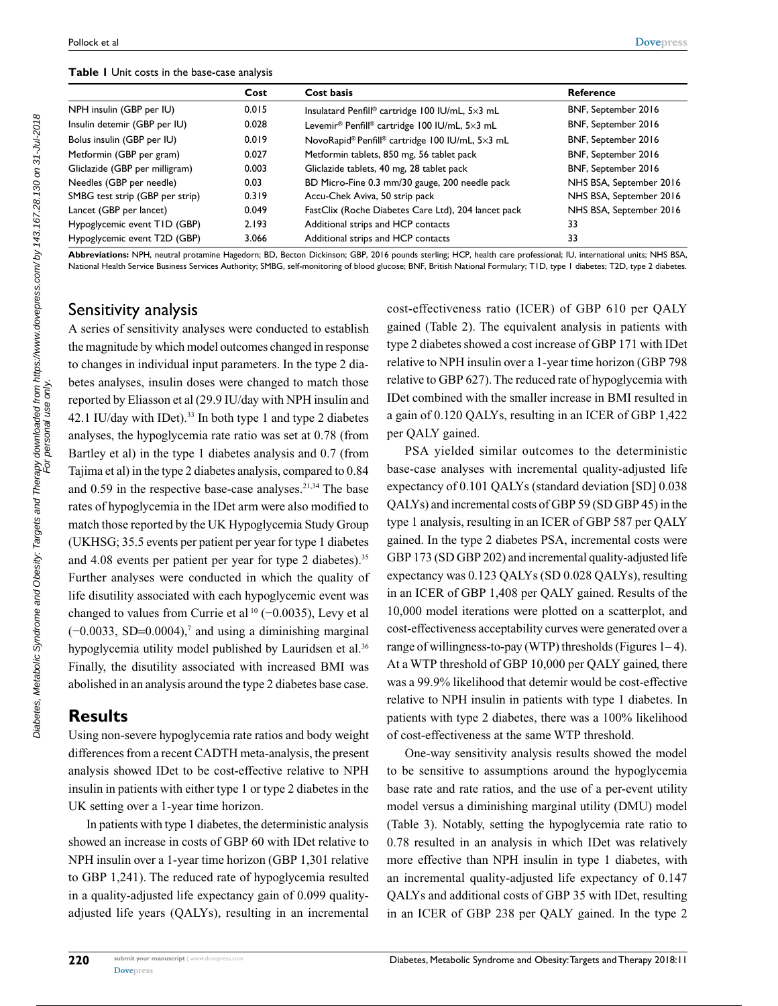#### **Table 1** Unit costs in the base-case analysis

|                                 | Cost  | Cost basis                                                            | Reference               |  |
|---------------------------------|-------|-----------------------------------------------------------------------|-------------------------|--|
| NPH insulin (GBP per IU)        | 0.015 | Insulatard Penfill® cartridge 100 IU/mL, 5×3 mL                       | BNF, September 2016     |  |
| Insulin detemir (GBP per IU)    | 0.028 | Levemir <sup>®</sup> Penfill <sup>®</sup> cartridge 100 IU/mL, 5×3 mL | BNF, September 2016     |  |
| Bolus insulin (GBP per IU)      | 0.019 | NovoRapid® Penfill® cartridge 100 IU/mL, 5×3 mL                       | BNF, September 2016     |  |
| Metformin (GBP per gram)        | 0.027 | Metformin tablets, 850 mg, 56 tablet pack                             | BNF, September 2016     |  |
| Gliclazide (GBP per milligram)  | 0.003 | Gliclazide tablets, 40 mg, 28 tablet pack                             | BNF, September 2016     |  |
| Needles (GBP per needle)        | 0.03  | BD Micro-Fine 0.3 mm/30 gauge, 200 needle pack                        | NHS BSA, September 2016 |  |
| SMBG test strip (GBP per strip) | 0.319 | Accu-Chek Aviva, 50 strip pack                                        | NHS BSA, September 2016 |  |
| Lancet (GBP per lancet)         | 0.049 | FastClix (Roche Diabetes Care Ltd), 204 lancet pack                   | NHS BSA, September 2016 |  |
| Hypoglycemic event TID (GBP)    | 2.193 | Additional strips and HCP contacts                                    | 33                      |  |
| Hypoglycemic event T2D (GBP)    | 3.066 | Additional strips and HCP contacts                                    | 33                      |  |

**Abbreviations:** NPH, neutral protamine Hagedorn; BD, Becton Dickinson; GBP, 2016 pounds sterling; HCP, health care professional; IU, international units; NHS BSA, National Health Service Business Services Authority; SMBG, self-monitoring of blood glucose; BNF, British National Formulary; T1D, type 1 diabetes: T2D, type 2 diabetes.

### Sensitivity analysis

<span id="page-4-0"></span>A series of sensitivity analyses were conducted to establish the magnitude by which model outcomes changed in response to changes in individual input parameters. In the type 2 diabetes analyses, insulin doses were changed to match those reported by Eliasson et al (29.9 IU/day with NPH insulin and 42.1 IU/day with IDet).<sup>33</sup> In both type 1 and type 2 diabetes analyses, the hypoglycemia rate ratio was set at 0.78 (from Bartley et al) in the type 1 diabetes analysis and 0.7 (from Tajima et al) in the type 2 diabetes analysis, compared to 0.84 and  $0.59$  in the respective base-case analyses.<sup>21,34</sup> The base rates of hypoglycemia in the IDet arm were also modified to match those reported by the UK Hypoglycemia Study Group (UKHSG; 35.5 events per patient per year for type 1 diabetes and 4.08 events per patient per year for type 2 diabetes).<sup>35</sup> Further analyses were conducted in which the quality of life disutility associated with each hypoglycemic event was changed to values from Currie et al<sup>10</sup> (−0.0035), Levy et al  $(-0.0033, SD=0.0004)$ ,<sup>7</sup> and using a diminishing marginal hypoglycemia utility model published by Lauridsen et al.<sup>36</sup> Finally, the disutility associated with increased BMI was abolished in an analysis around the type 2 diabetes base case.

#### **Results**

Using non-severe hypoglycemia rate ratios and body weight differences from a recent CADTH meta-analysis, the present analysis showed IDet to be cost-effective relative to NPH insulin in patients with either type 1 or type 2 diabetes in the UK setting over a 1-year time horizon.

In patients with type 1 diabetes, the deterministic analysis showed an increase in costs of GBP 60 with IDet relative to NPH insulin over a 1-year time horizon (GBP 1,301 relative to GBP 1,241). The reduced rate of hypoglycemia resulted in a quality-adjusted life expectancy gain of 0.099 qualityadjusted life years (QALYs), resulting in an incremental cost-effectiveness ratio (ICER) of GBP 610 per QALY gained (Table 2). The equivalent analysis in patients with type 2 diabetes showed a cost increase of GBP 171 with IDet relative to NPH insulin over a 1-year time horizon (GBP 798 relative to GBP 627). The reduced rate of hypoglycemia with IDet combined with the smaller increase in BMI resulted in a gain of 0.120 QALYs, resulting in an ICER of GBP 1,422 per QALY gained.

PSA yielded similar outcomes to the deterministic base-case analyses with incremental quality-adjusted life expectancy of 0.101 QALYs (standard deviation [SD] 0.038 QALYs) and incremental costs of GBP 59 (SD GBP 45) in the type 1 analysis, resulting in an ICER of GBP 587 per QALY gained. In the type 2 diabetes PSA, incremental costs were GBP 173 (SD GBP 202) and incremental quality-adjusted life expectancy was 0.123 QALYs (SD 0.028 QALYs), resulting in an ICER of GBP 1,408 per QALY gained. Results of the 10,000 model iterations were plotted on a scatterplot, and cost-effectiveness acceptability curves were generated over a range of willingness-to-pay (WTP) thresholds (Figures  $1-4$ ). At a WTP threshold of GBP 10,000 per QALY gained, there was a 99.9% likelihood that detemir would be cost-effective relative to NPH insulin in patients with type 1 diabetes. In patients with type 2 diabetes, there was a 100% likelihood of cost-effectiveness at the same WTP threshold.

One-way sensitivity analysis results showed the model to be sensitive to assumptions around the hypoglycemia base rate and rate ratios, and the use of a per-event utility model versus a diminishing marginal utility (DMU) model (Table 3). Notably, setting the hypoglycemia rate ratio to 0.78 resulted in an analysis in which IDet was relatively more effective than NPH insulin in type 1 diabetes, with an incremental quality-adjusted life expectancy of 0.147 QALYs and additional costs of GBP 35 with IDet, resulting in an ICER of GBP 238 per QALY gained. In the type 2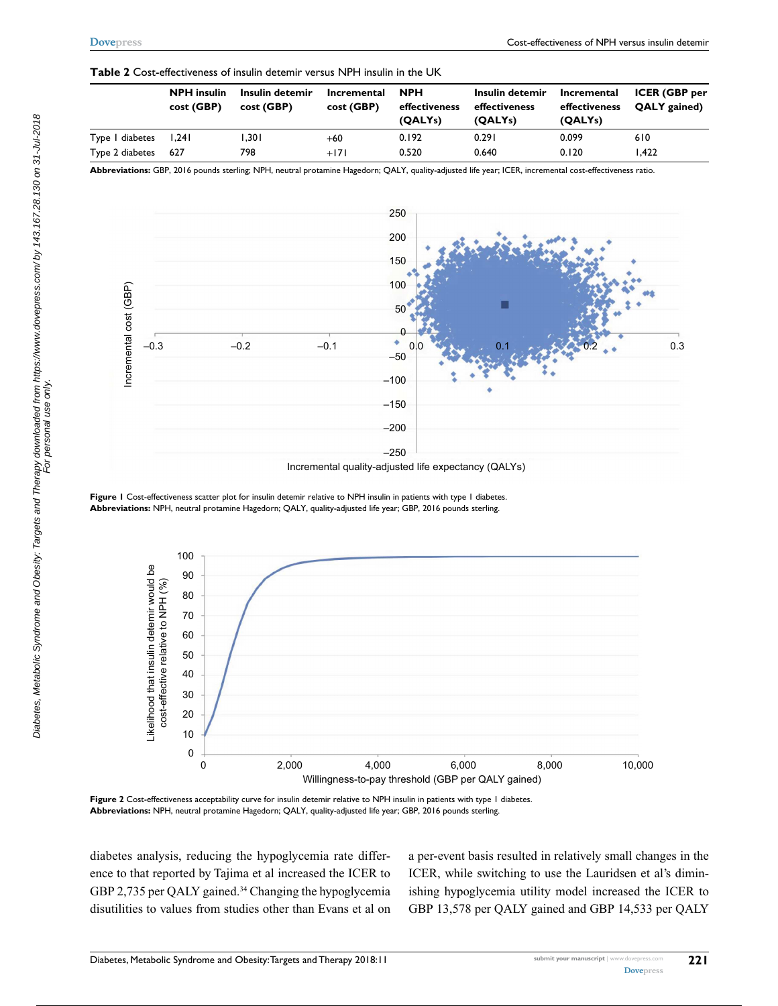#### **Table 2** Cost-effectiveness of insulin detemir versus NPH insulin in the UK

|                 | <b>NPH</b> insulin<br>cost (GBP) | Insulin detemir<br>cost (GBP) | Incremental<br>cost (GBP) | <b>NPH</b><br>effectiveness<br>(QALY <sub>S</sub> ) | Insulin detemir<br>effectiveness<br>(QALY <sub>S</sub> ) | Incremental<br>effectiveness<br>(QALY <sub>S</sub> ) | <b>ICER (GBP per</b><br>QALY gained) |
|-----------------|----------------------------------|-------------------------------|---------------------------|-----------------------------------------------------|----------------------------------------------------------|------------------------------------------------------|--------------------------------------|
| Type I diabetes | 1.241                            | ا30.                          | $+60$                     | 0.192                                               | 0.291                                                    | 0.099                                                | 610                                  |
| Type 2 diabetes | 627                              | 798                           | $+171$                    | 0.520                                               | 0.640                                                    | 0.120                                                | 1.422                                |

**Abbreviations:** GBP, 2016 pounds sterling; NPH, neutral protamine Hagedorn; QALY, quality-adjusted life year; ICER, incremental cost-effectiveness ratio.



Incremental quality-adjusted life expectancy (QALYs)

**Figure 1** Cost-effectiveness scatter plot for insulin detemir relative to NPH insulin in patients with type 1 diabetes. **Abbreviations:** NPH, neutral protamine Hagedorn; QALY, quality-adjusted life year; GBP, 2016 pounds sterling.

<span id="page-5-0"></span>

**Figure 2** Cost-effectiveness acceptability curve for insulin detemir relative to NPH insulin in patients with type 1 diabetes. **Abbreviations:** NPH, neutral protamine Hagedorn; QALY, quality-adjusted life year; GBP, 2016 pounds sterling.

diabetes analysis, reducing the hypoglycemia rate difference to that reported by Tajima et al increased the ICER to GBP 2,735 per QALY gained.<sup>34</sup> Changing the hypoglycemia disutilities to values from studies other than Evans et al on a per-event basis resulted in relatively small changes in the ICER, while switching to use the Lauridsen et al's diminishing hypoglycemia utility model increased the ICER to GBP 13,578 per QALY gained and GBP 14,533 per QALY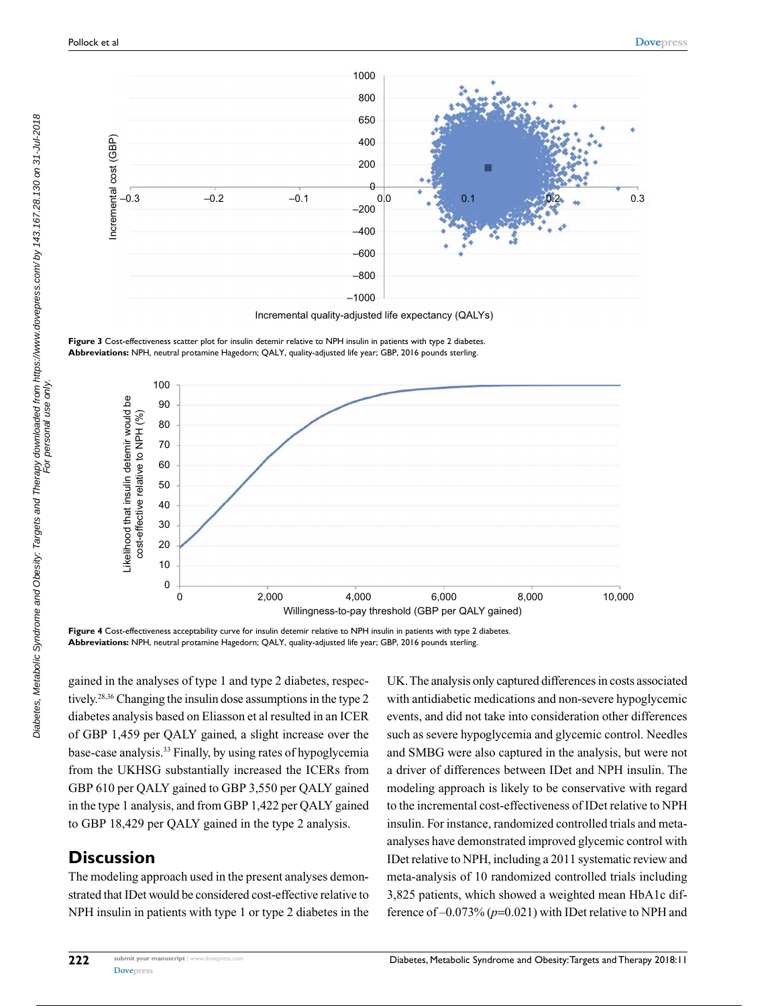

**Figure 3** Cost-effectiveness scatter plot for insulin detemir relative to NPH insulin in patients with type 2 diabetes. **Abbreviations:** NPH, neutral protamine Hagedorn; QALY, quality-adjusted life year; GBP, 2016 pounds sterling.



**Figure 4** Cost-effectiveness acceptability curve for insulin detemir relative to NPH insulin in patients with type 2 diabetes. **Abbreviations:** NPH, neutral protamine Hagedorn; QALY, quality-adjusted life year; GBP, 2016 pounds sterling.

gained in the analyses of type 1 and type 2 diabetes, respectively.28,36 Changing the insulin dose assumptions in the type 2 diabetes analysis based on Eliasson et al resulted in an ICER of GBP 1,459 per QALY gained, a slight increase over the base-case analysis.<sup>33</sup> Finally, by using rates of hypoglycemia from the UKHSG substantially increased the ICERs from GBP 610 per QALY gained to GBP 3,550 per QALY gained in the type 1 analysis, and from GBP 1,422 per QALY gained to GBP 18,429 per QALY gained in the type 2 analysis.

## **Discussion**

The modeling approach used in the present analyses demonstrated that IDet would be considered cost-effective relative to NPH insulin in patients with type 1 or type 2 diabetes in the UK. The analysis only captured differences in costs associated with antidiabetic medications and non-severe hypoglycemic events, and did not take into consideration other differences such as severe hypoglycemia and glycemic control. Needles and SMBG were also captured in the analysis, but were not a driver of differences between IDet and NPH insulin. The modeling approach is likely to be conservative with regard to the incremental cost-effectiveness of IDet relative to NPH insulin. For instance, randomized controlled trials and metaanalyses have demonstrated improved glycemic control with IDet relative to NPH, including a 2011 systematic review and meta-analysis of 10 randomized controlled trials including 3,825 patients, which showed a weighted mean HbA1c difference of –0.073% (*p*=0.021) with IDet relative to NPH and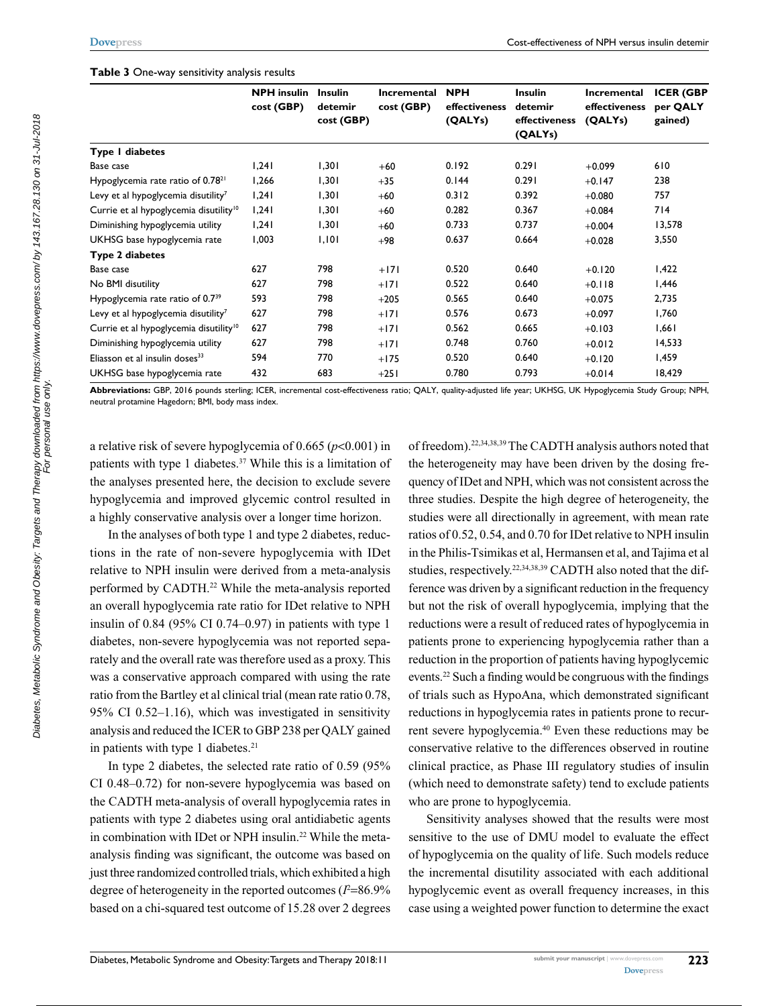#### **Table 3** One-way sensitivity analysis results

|                                                    | <b>NPH</b> insulin<br>cost (GBP) | <b>Insulin</b><br>detemir<br>cost (GBP) | Incremental<br>cost (GBP) | <b>NPH</b><br>effectiveness<br>(QALYs) | <b>Insulin</b><br>detemir<br>effectiveness<br>(QALYs) | Incremental<br>effectiveness<br>(QALYs) | <b>ICER (GBP</b><br>per QALY<br>gained) |
|----------------------------------------------------|----------------------------------|-----------------------------------------|---------------------------|----------------------------------------|-------------------------------------------------------|-----------------------------------------|-----------------------------------------|
| Type I diabetes                                    |                                  |                                         |                           |                                        |                                                       |                                         |                                         |
| Base case                                          | 1,241                            | 1,301                                   | $+60$                     | 0.192                                  | 0.291                                                 | $+0.099$                                | 610                                     |
| Hypoglycemia rate ratio of 0.78 <sup>21</sup>      | 1,266                            | 1,301                                   | $+35$                     | 0.144                                  | 0.291                                                 | $+0.147$                                | 238                                     |
| Levy et al hypoglycemia disutility <sup>7</sup>    | 1,241                            | 1,301                                   | $+60$                     | 0.312                                  | 0.392                                                 | $+0.080$                                | 757                                     |
| Currie et al hypoglycemia disutility <sup>10</sup> | 1,241                            | 1,301                                   | $+60$                     | 0.282                                  | 0.367                                                 | $+0.084$                                | 714                                     |
| Diminishing hypoglycemia utility                   | 1,241                            | 1,301                                   | $+60$                     | 0.733                                  | 0.737                                                 | $+0.004$                                | 13,578                                  |
| UKHSG base hypoglycemia rate                       | 1,003                            | 1,101                                   | $+98$                     | 0.637                                  | 0.664                                                 | $+0.028$                                | 3,550                                   |
| Type 2 diabetes                                    |                                  |                                         |                           |                                        |                                                       |                                         |                                         |
| Base case                                          | 627                              | 798                                     | $+171$                    | 0.520                                  | 0.640                                                 | $+0.120$                                | 1,422                                   |
| No BMI disutility                                  | 627                              | 798                                     | $+171$                    | 0.522                                  | 0.640                                                 | $+0.118$                                | 1,446                                   |
| Hypoglycemia rate ratio of 0.7 <sup>39</sup>       | 593                              | 798                                     | $+205$                    | 0.565                                  | 0.640                                                 | $+0.075$                                | 2,735                                   |
| Levy et al hypoglycemia disutility <sup>7</sup>    | 627                              | 798                                     | $+171$                    | 0.576                                  | 0.673                                                 | $+0.097$                                | 1,760                                   |
| Currie et al hypoglycemia disutility <sup>10</sup> | 627                              | 798                                     | $+171$                    | 0.562                                  | 0.665                                                 | $+0.103$                                | 1,661                                   |
| Diminishing hypoglycemia utility                   | 627                              | 798                                     | $+171$                    | 0.748                                  | 0.760                                                 | $+0.012$                                | 14,533                                  |
| Eliasson et al insulin doses <sup>33</sup>         | 594                              | 770                                     | $+175$                    | 0.520                                  | 0.640                                                 | $+0.120$                                | 1,459                                   |
| UKHSG base hypoglycemia rate                       | 432                              | 683                                     | $+251$                    | 0.780                                  | 0.793                                                 | $+0.014$                                | 18,429                                  |

**Abbreviations:** GBP, 2016 pounds sterling; ICER, incremental cost-effectiveness ratio; QALY, quality-adjusted life year; UKHSG, UK Hypoglycemia Study Group; NPH, neutral protamine Hagedorn; BMI, body mass index.

a relative risk of severe hypoglycemia of 0.665 (*p*<0.001) in patients with type 1 diabetes.<sup>37</sup> While this is a limitation of the analyses presented here, the decision to exclude severe hypoglycemia and improved glycemic control resulted in a highly conservative analysis over a longer time horizon.

In the analyses of both type 1 and type 2 diabetes, reductions in the rate of non-severe hypoglycemia with IDet relative to NPH insulin were derived from a meta-analysis performed by CADTH.<sup>22</sup> While the meta-analysis reported an overall hypoglycemia rate ratio for IDet relative to NPH insulin of  $0.84$  (95% CI 0.74–0.97) in patients with type 1 diabetes, non-severe hypoglycemia was not reported separately and the overall rate was therefore used as a proxy. This was a conservative approach compared with using the rate ratio from the Bartley et al clinical trial (mean rate ratio 0.78, 95% CI 0.52–1.16), which was investigated in sensitivity analysis and reduced the ICER to GBP 238 per QALY gained in patients with type 1 diabetes.<sup>21</sup>

In type 2 diabetes, the selected rate ratio of 0.59 (95% CI 0.48–0.72) for non-severe hypoglycemia was based on the CADTH meta-analysis of overall hypoglycemia rates in patients with type 2 diabetes using oral antidiabetic agents in combination with IDet or NPH insulin.<sup>22</sup> While the metaanalysis finding was significant, the outcome was based on just three randomized controlled trials, which exhibited a high degree of heterogeneity in the reported outcomes (*I* <sup>2</sup>=86.9% based on a chi-squared test outcome of 15.28 over 2 degrees

of freedom).22,34,38,39 The CADTH analysis authors noted that the heterogeneity may have been driven by the dosing frequency of IDet and NPH, which was not consistent across the three studies. Despite the high degree of heterogeneity, the studies were all directionally in agreement, with mean rate ratios of 0.52, 0.54, and 0.70 for IDet relative to NPH insulin in the Philis-Tsimikas et al, Hermansen et al, and Tajima et al studies, respectively.<sup>22,34,38,39</sup> CADTH also noted that the difference was driven by a significant reduction in the frequency but not the risk of overall hypoglycemia, implying that the reductions were a result of reduced rates of hypoglycemia in patients prone to experiencing hypoglycemia rather than a reduction in the proportion of patients having hypoglycemic events.<sup>22</sup> Such a finding would be congruous with the findings of trials such as HypoAna, which demonstrated significant reductions in hypoglycemia rates in patients prone to recurrent severe hypoglycemia.<sup>40</sup> Even these reductions may be conservative relative to the differences observed in routine clinical practice, as Phase III regulatory studies of insulin (which need to demonstrate safety) tend to exclude patients who are prone to hypoglycemia.

Sensitivity analyses showed that the results were most sensitive to the use of DMU model to evaluate the effect of hypoglycemia on the quality of life. Such models reduce the incremental disutility associated with each additional hypoglycemic event as overall frequency increases, in this case using a weighted power function to determine the exact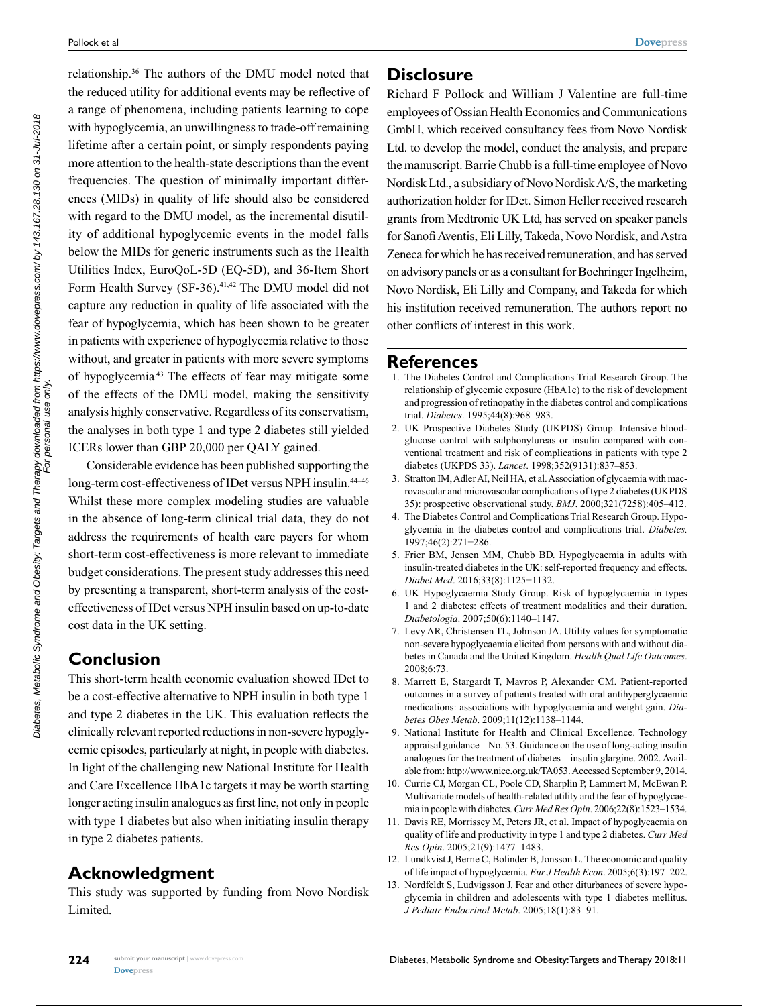relationship.<sup>36</sup> The authors of the DMU model noted that the reduced utility for additional events may be reflective of a range of phenomena, including patients learning to cope with hypoglycemia, an unwillingness to trade-off remaining lifetime after a certain point, or simply respondents paying more attention to the health-state descriptions than the event frequencies. The question of minimally important differences (MIDs) in quality of life should also be considered with regard to the DMU model, as the incremental disutility of additional hypoglycemic events in the model falls below the MIDs for generic instruments such as the Health Utilities Index, EuroQoL-5D (EQ-5D), and 36-Item Short Form Health Survey (SF-36).<sup>41,42</sup> The DMU model did not capture any reduction in quality of life associated with the fear of hypoglycemia, which has been shown to be greater in patients with experience of hypoglycemia relative to those without, and greater in patients with more severe symptoms of hypoglycemia<sup>43</sup> The effects of fear may mitigate some of the effects of the DMU model, making the sensitivity analysis highly conservative. Regardless of its conservatism, the analyses in both type 1 and type 2 diabetes still yielded ICERs lower than GBP 20,000 per QALY gained.

Considerable evidence has been published supporting the long-term cost-effectiveness of IDet versus NPH insulin.<sup>44-46</sup> Whilst these more complex modeling studies are valuable in the absence of long-term clinical trial data, they do not address the requirements of health care payers for whom short-term cost-effectiveness is more relevant to immediate budget considerations. The present study addresses this need by presenting a transparent, short-term analysis of the costeffectiveness of IDet versus NPH insulin based on up-to-date cost data in the UK setting.

## **Conclusion**

This short-term health economic evaluation showed IDet to be a cost-effective alternative to NPH insulin in both type 1 and type 2 diabetes in the UK. This evaluation reflects the clinically relevant reported reductions in non-severe hypoglycemic episodes, particularly at night, in people with diabetes. In light of the challenging new National Institute for Health and Care Excellence HbA1c targets it may be worth starting longer acting insulin analogues as first line, not only in people with type 1 diabetes but also when initiating insulin therapy in type 2 diabetes patients.

## **Acknowledgment**

This study was supported by funding from Novo Nordisk Limited.

#### **Disclosure**

Richard F Pollock and William J Valentine are full-time employees of Ossian Health Economics and Communications GmbH, which received consultancy fees from Novo Nordisk Ltd. to develop the model, conduct the analysis, and prepare the manuscript. Barrie Chubb is a full-time employee of Novo Nordisk Ltd., a subsidiary of Novo Nordisk A/S, the marketing authorization holder for IDet. Simon Heller received research grants from Medtronic UK Ltd, has served on speaker panels for Sanofi Aventis, Eli Lilly, Takeda, Novo Nordisk, and Astra Zeneca for which he has received remuneration, and has served on advisory panels or as a consultant for Boehringer Ingelheim, Novo Nordisk, Eli Lilly and Company, and Takeda for which his institution received remuneration. The authors report no other conflicts of interest in this work.

#### **References**

- 1. The Diabetes Control and Complications Trial Research Group. The relationship of glycemic exposure (HbA1c) to the risk of development and progression of retinopathy in the diabetes control and complications trial. *Diabetes*. 1995;44(8):968–983.
- 2. UK Prospective Diabetes Study (UKPDS) Group. Intensive bloodglucose control with sulphonylureas or insulin compared with conventional treatment and risk of complications in patients with type 2 diabetes (UKPDS 33). *Lancet*. 1998;352(9131):837–853.
- 3. Stratton IM, Adler AI, Neil HA, et al. Association of glycaemia with macrovascular and microvascular complications of type 2 diabetes (UKPDS 35): prospective observational study. *BMJ*. 2000;321(7258):405–412.
- 4. The Diabetes Control and Complications Trial Research Group. Hypoglycemia in the diabetes control and complications trial. *Diabetes.* 1997;46(2):271−286.
- 5. Frier BM, Jensen MM, Chubb BD. Hypoglycaemia in adults with insulin-treated diabetes in the UK: self-reported frequency and effects. *Diabet Med*. 2016;33(8):1125−1132.
- 6. UK Hypoglycaemia Study Group. Risk of hypoglycaemia in types 1 and 2 diabetes: effects of treatment modalities and their duration. *Diabetologia*. 2007;50(6):1140–1147.
- 7. Levy AR, Christensen TL, Johnson JA. Utility values for symptomatic non-severe hypoglycaemia elicited from persons with and without diabetes in Canada and the United Kingdom. *Health Qual Life Outcomes*. 2008;6:73.
- 8. Marrett E, Stargardt T, Mavros P, Alexander CM. Patient-reported outcomes in a survey of patients treated with oral antihyperglycaemic medications: associations with hypoglycaemia and weight gain. *Diabetes Obes Metab*. 2009;11(12):1138–1144.
- 9. National Institute for Health and Clinical Excellence. Technology appraisal guidance – No. 53. Guidance on the use of long-acting insulin analogues for the treatment of diabetes – insulin glargine. 2002. Available from:<http://www.nice.org.uk/TA053>. Accessed September 9, 2014.
- 10. Currie CJ, Morgan CL, Poole CD, Sharplin P, Lammert M, McEwan P. Multivariate models of health-related utility and the fear of hypoglycaemia in people with diabetes. *Curr Med Res Opin*. 2006;22(8):1523–1534.
- 11. Davis RE, Morrissey M, Peters JR, et al. Impact of hypoglycaemia on quality of life and productivity in type 1 and type 2 diabetes. *Curr Med Res Opin*. 2005;21(9):1477–1483.
- 12. Lundkvist J, Berne C, Bolinder B, Jonsson L. The economic and quality of life impact of hypoglycemia. *Eur J Health Econ*. 2005;6(3):197–202.
- 13. Nordfeldt S, Ludvigsson J. Fear and other diturbances of severe hypoglycemia in children and adolescents with type 1 diabetes mellitus. *J Pediatr Endocrinol Metab*. 2005;18(1):83–91.

For personal use only.

**224**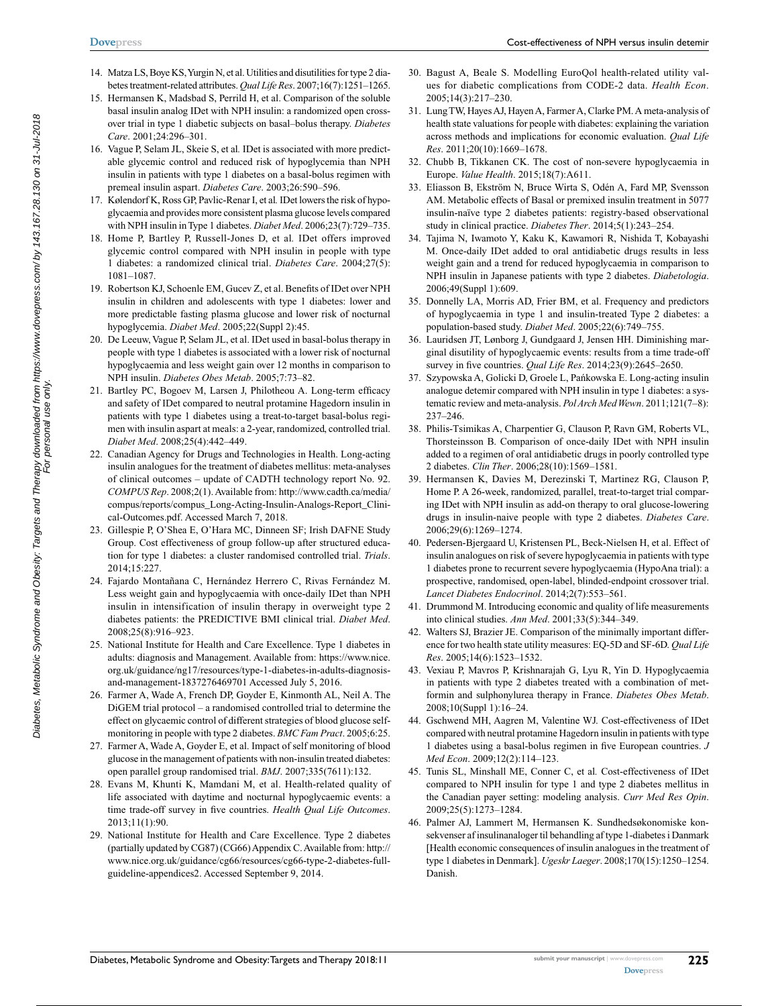- 14. Matza LS, Boye KS, Yurgin N, et al. Utilities and disutilities for type 2 diabetes treatment-related attributes. *Qual Life Res*. 2007;16(7):1251–1265.
- 15. Hermansen K, Madsbad S, Perrild H, et al. Comparison of the soluble basal insulin analog IDet with NPH insulin: a randomized open crossover trial in type 1 diabetic subjects on basal–bolus therapy. *Diabetes Care*. 2001;24:296–301.
- 16. Vague P, Selam JL, Skeie S, et al*.* IDet is associated with more predictable glycemic control and reduced risk of hypoglycemia than NPH insulin in patients with type 1 diabetes on a basal-bolus regimen with premeal insulin aspart. *Diabetes Care*. 2003;26:590–596.
- 17. Kølendorf K, Ross GP, Pavlic-Renar I, et al*.* IDet lowers the risk of hypoglycaemia and provides more consistent plasma glucose levels compared with NPH insulin in Type 1 diabetes. *Diabet Med*. 2006;23(7):729–735.
- 18. Home P, Bartley P, Russell-Jones D, et al*.* IDet offers improved glycemic control compared with NPH insulin in people with type 1 diabetes: a randomized clinical trial. *Diabetes Care*. 2004;27(5): 1081–1087.
- 19. Robertson KJ, Schoenle EM, Gucev Z, et al. Benefits of IDet over NPH insulin in children and adolescents with type 1 diabetes: lower and more predictable fasting plasma glucose and lower risk of nocturnal hypoglycemia. *Diabet Med*. 2005;22(Suppl 2):45.
- 20. De Leeuw, Vague P, Selam JL, et al. IDet used in basal-bolus therapy in people with type 1 diabetes is associated with a lower risk of nocturnal hypoglycaemia and less weight gain over 12 months in comparison to NPH insulin. *Diabetes Obes Metab*. 2005;7:73–82.
- 21. Bartley PC, Bogoev M, Larsen J, Philotheou A. Long-term efficacy and safety of IDet compared to neutral protamine Hagedorn insulin in patients with type 1 diabetes using a treat-to-target basal-bolus regimen with insulin aspart at meals: a 2-year, randomized, controlled trial. *Diabet Med*. 2008;25(4):442–449.
- 22. Canadian Agency for Drugs and Technologies in Health. Long-acting insulin analogues for the treatment of diabetes mellitus: meta-analyses of clinical outcomes – update of CADTH technology report No. 92. *COMPUS Rep*. 2008;2(1). Available from: [http://www.cadth.ca/media/](http://www.cadth.ca/media/compus/reports/compus_Long-Acting-Insulin-Analogs-Report_Clinical-Outcomes.pdf) [compus/reports/compus\\_Long-Acting-Insulin-Analogs-Report\\_Clini](http://www.cadth.ca/media/compus/reports/compus_Long-Acting-Insulin-Analogs-Report_Clinical-Outcomes.pdf)[cal-Outcomes.pdf.](http://www.cadth.ca/media/compus/reports/compus_Long-Acting-Insulin-Analogs-Report_Clinical-Outcomes.pdf) Accessed March 7, 2018.
- 23. Gillespie P, O'Shea E, O'Hara MC, Dinneen SF; Irish DAFNE Study Group. Cost effectiveness of group follow-up after structured education for type 1 diabetes: a cluster randomised controlled trial. *Trials*. 2014;15:227.
- 24. Fajardo Montañana C, Hernández Herrero C, Rivas Fernández M. Less weight gain and hypoglycaemia with once-daily IDet than NPH insulin in intensification of insulin therapy in overweight type 2 diabetes patients: the PREDICTIVE BMI clinical trial. *Diabet Med*. 2008;25(8):916–923.
- 25. National Institute for Health and Care Excellence. Type 1 diabetes in adults: diagnosis and Management. Available from: [https://www.nice.](https://www.nice.org.uk/guidance/ng17/resources/type-1-diabetes-in-adults-diagnosis-and-management-1837276469701) [org.uk/guidance/ng17/resources/type-1-diabetes-in-adults-diagnosis](https://www.nice.org.uk/guidance/ng17/resources/type-1-diabetes-in-adults-diagnosis-and-management-1837276469701)[and-management-1837276469701](https://www.nice.org.uk/guidance/ng17/resources/type-1-diabetes-in-adults-diagnosis-and-management-1837276469701) Accessed July 5, 2016.
- 26. Farmer A, Wade A, French DP, Goyder E, Kinmonth AL, Neil A. The DiGEM trial protocol – a randomised controlled trial to determine the effect on glycaemic control of different strategies of blood glucose selfmonitoring in people with type 2 diabetes. *BMC Fam Pract*. 2005;6:25.
- 27. Farmer A, Wade A, Goyder E, et al. Impact of self monitoring of blood glucose in the management of patients with non-insulin treated diabetes: open parallel group randomised trial. *BMJ*. 2007;335(7611):132.
- 28. Evans M, Khunti K, Mamdani M, et al. Health-related quality of life associated with daytime and nocturnal hypoglycaemic events: a time trade-off survey in five countries. *Health Qual Life Outcomes*. 2013;11(1):90.
- 29. National Institute for Health and Care Excellence. Type 2 diabetes (partially updated by CG87) (CG66) Appendix C. Available from: http:// www.nice.org.uk/guidance/cg66/resources/cg66-type-2-diabetes-fullguideline-appendices2. Accessed September 9, 2014.
- 30. Bagust A, Beale S. Modelling EuroQol health-related utility values for diabetic complications from CODE-2 data. *Health Econ*. 2005;14(3):217–230.
- 31. Lung TW, Hayes AJ, Hayen A, Farmer A, Clarke PM. A meta-analysis of health state valuations for people with diabetes: explaining the variation across methods and implications for economic evaluation. *Qual Life Res*. 2011;20(10):1669–1678.
- 32. Chubb B, Tikkanen CK. The cost of non-severe hypoglycaemia in Europe. *Value Health*. 2015;18(7):A611.
- 33. Eliasson B, Ekström N, Bruce Wirta S, Odén A, Fard MP, Svensson AM. Metabolic effects of Basal or premixed insulin treatment in 5077 insulin-naïve type 2 diabetes patients: registry-based observational study in clinical practice. *Diabetes Ther*. 2014;5(1):243–254.
- 34. Tajima N, Iwamoto Y, Kaku K, Kawamori R, Nishida T, Kobayashi M. Once-daily IDet added to oral antidiabetic drugs results in less weight gain and a trend for reduced hypoglycaemia in comparison to NPH insulin in Japanese patients with type 2 diabetes. *Diabetologia*. 2006;49(Suppl 1):609.
- 35. Donnelly LA, Morris AD, Frier BM, et al. Frequency and predictors of hypoglycaemia in type 1 and insulin-treated Type 2 diabetes: a population-based study. *Diabet Med*. 2005;22(6):749–755.
- 36. Lauridsen JT, Lønborg J, Gundgaard J, Jensen HH. Diminishing marginal disutility of hypoglycaemic events: results from a time trade-off survey in five countries. *Qual Life Res*. 2014;23(9):2645–2650.
- 37. Szypowska A, Golicki D, Groele L, Pańkowska E. Long-acting insulin analogue detemir compared with NPH insulin in type 1 diabetes: a systematic review and meta-analysis. *Pol Arch Med Wewn*. 2011;121(7–8): 237–246.
- 38. Philis-Tsimikas A, Charpentier G, Clauson P, Ravn GM, Roberts VL, Thorsteinsson B. Comparison of once-daily IDet with NPH insulin added to a regimen of oral antidiabetic drugs in poorly controlled type 2 diabetes. *Clin Ther*. 2006;28(10):1569–1581.
- 39. Hermansen K, Davies M, Derezinski T, Martinez RG, Clauson P, Home P. A 26-week, randomized, parallel, treat-to-target trial comparing IDet with NPH insulin as add-on therapy to oral glucose-lowering drugs in insulin-naive people with type 2 diabetes. *Diabetes Care*. 2006;29(6):1269–1274.
- 40. Pedersen-Bjergaard U, Kristensen PL, Beck-Nielsen H, et al. Effect of insulin analogues on risk of severe hypoglycaemia in patients with type 1 diabetes prone to recurrent severe hypoglycaemia (HypoAna trial): a prospective, randomised, open-label, blinded-endpoint crossover trial. *Lancet Diabetes Endocrinol*. 2014;2(7):553–561.
- 41. Drummond M. Introducing economic and quality of life measurements into clinical studies. *Ann Med*. 2001;33(5):344–349.
- 42. Walters SJ, Brazier JE. Comparison of the minimally important difference for two health state utility measures: EQ-5D and SF-6D. *Qual Life Res*. 2005;14(6):1523–1532.
- 43. Vexiau P, Mavros P, Krishnarajah G, Lyu R, Yin D. Hypoglycaemia in patients with type 2 diabetes treated with a combination of metformin and sulphonylurea therapy in France. *Diabetes Obes Metab*. 2008;10(Suppl 1):16–24.
- 44. Gschwend MH, Aagren M, Valentine WJ. Cost-effectiveness of IDet compared with neutral protamine Hagedorn insulin in patients with type 1 diabetes using a basal-bolus regimen in five European countries. *J Med Econ*. 2009;12(2):114–123.
- 45. Tunis SL, Minshall ME, Conner C, et al*.* Cost-effectiveness of IDet compared to NPH insulin for type 1 and type 2 diabetes mellitus in the Canadian payer setting: modeling analysis. *Curr Med Res Opin*. 2009;25(5):1273–1284.
- 46. Palmer AJ, Lammert M, Hermansen K. Sundhedsøkonomiske konsekvenser af insulinanaloger til behandling af type 1-diabetes i Danmark [Health economic consequences of insulin analogues in the treatment of type 1 diabetes in Denmark]. *Ugeskr Laeger*. 2008;170(15):1250–1254. Danish.